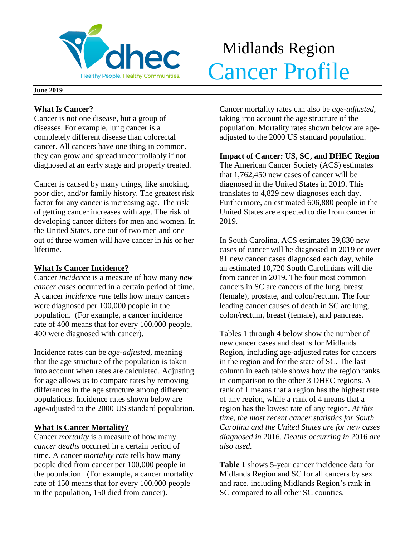

# Midlands Region Meathy People. Healthy Communities. Cancer Profile

#### **June 2019**

## **What Is Cancer?**

Cancer is not one disease, but a group of diseases. For example, lung cancer is a completely different disease than colorectal cancer. All cancers have one thing in common, they can grow and spread uncontrollably if not diagnosed at an early stage and properly treated.

Cancer is caused by many things, like smoking, poor diet, and/or family history. The greatest risk factor for any cancer is increasing age. The risk of getting cancer increases with age. The risk of developing cancer differs for men and women. In the United States, one out of two men and one out of three women will have cancer in his or her lifetime.

## **What Is Cancer Incidence?**

Cancer *incidence* is a measure of how many *new cancer cases* occurred in a certain period of time. A cancer *incidence rate* tells how many cancers were diagnosed per 100,000 people in the population. (For example, a cancer incidence rate of 400 means that for every 100,000 people, 400 were diagnosed with cancer).

Incidence rates can be *age-adjusted*, meaning that the age structure of the population is taken into account when rates are calculated. Adjusting for age allows us to compare rates by removing differences in the age structure among different populations. Incidence rates shown below are age-adjusted to the 2000 US standard population.

## **What Is Cancer Mortality?**

Cancer *mortality* is a measure of how many *cancer deaths* occurred in a certain period of time. A cancer *mortality rate* tells how many people died from cancer per 100,000 people in the population. (For example, a cancer mortality rate of 150 means that for every 100,000 people in the population, 150 died from cancer).

Cancer mortality rates can also be *age-adjusted*, taking into account the age structure of the population. Mortality rates shown below are ageadjusted to the 2000 US standard population.

## **Impact of Cancer: US, SC, and DHEC Region**

The American Cancer Society (ACS) estimates that 1,762,450 new cases of cancer will be diagnosed in the United States in 2019. This translates to 4,829 new diagnoses each day. Furthermore, an estimated 606,880 people in the United States are expected to die from cancer in 2019.

In South Carolina, ACS estimates 29,830 new cases of cancer will be diagnosed in 2019 or over 81 new cancer cases diagnosed each day, while an estimated 10,720 South Carolinians will die from cancer in 2019. The four most common cancers in SC are cancers of the lung, breast (female), prostate, and colon/rectum. The four leading cancer causes of death in SC are lung, colon/rectum, breast (female), and pancreas.

Tables 1 through 4 below show the number of new cancer cases and deaths for Midlands Region, including age-adjusted rates for cancers in the region and for the state of SC. The last column in each table shows how the region ranks in comparison to the other 3 DHEC regions. A rank of 1 means that a region has the highest rate of any region, while a rank of 4 means that a region has the lowest rate of any region. *At this time, the most recent cancer statistics for South Carolina and the United States are for new cases diagnosed in* 2016*. Deaths occurring in* 2016 *are also used.*

**Table 1** shows 5-year cancer incidence data for Midlands Region and SC for all cancers by sex and race, including Midlands Region's rank in SC compared to all other SC counties.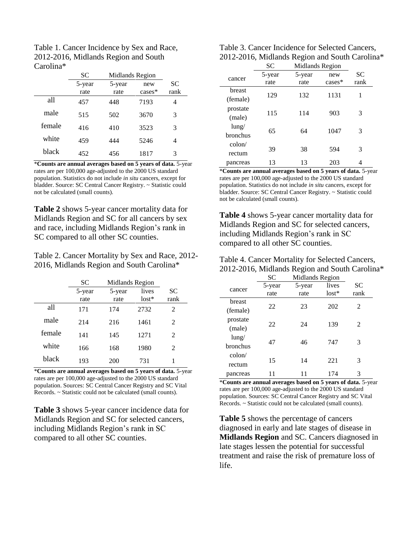| Table 1. Cancer Incidence by Sex and Race, |
|--------------------------------------------|
| 2012-2016, Midlands Region and South       |
| Carolina*                                  |

|        | SС     | Midlands Region |          |           |
|--------|--------|-----------------|----------|-----------|
|        | 5-year | 5-year          | new      | <b>SC</b> |
|        | rate   | rate            | $cases*$ | rank      |
| all    | 457    | 448             | 7193     | 4         |
| male   | 515    | 502             | 3670     | 3         |
| female | 416    | 410             | 3523     | 3         |
| white  | 459    | 444             | 5246     | 4         |
| black  | 452    | 456             | 1817     | 3         |

\***Counts are annual averages based on 5 years of data.** 5-year rates are per 100,000 age-adjusted to the 2000 US standard population. Statistics do not include *in situ* cancers, except for bladder. Source: SC Central Cancer Registry. ~ Statistic could not be calculated (small counts).

**Table 2** shows 5-year cancer mortality data for Midlands Region and SC for all cancers by sex and race, including Midlands Region's rank in SC compared to all other SC counties.

Table 2. Cancer Mortality by Sex and Race, 2012- 2016, Midlands Region and South Carolina\*

|        | SС             | Midlands Region |                  |            |
|--------|----------------|-----------------|------------------|------------|
|        | 5-year<br>rate | 5-year<br>rate  | lives<br>$lost*$ | SС<br>rank |
| all    | 171            | 174             | 2732             | 2          |
| male   | 214            | 216             | 1461             | 2          |
| female | 141            | 145             | 1271             | 2          |
| white  | 166            | 168             | 1980             | 2          |
| black  | 193            | 200             | 731              | 1          |

\***Counts are annual averages based on 5 years of data.** 5-year rates are per 100,000 age-adjusted to the 2000 US standard population. Sources: SC Central Cancer Registry and SC Vital Records. ~ Statistic could not be calculated (small counts).

**Table 3** shows 5-year cancer incidence data for Midlands Region and SC for selected cancers, including Midlands Region's rank in SC compared to all other SC counties.

| Table 3. Cancer Incidence for Selected Cancers, |
|-------------------------------------------------|
| 2012-2016, Midlands Region and South Carolina*  |

|                 | SC     | Midlands Region |          |      |  |
|-----------------|--------|-----------------|----------|------|--|
| cancer          | 5-year | 5-year          | new      | SС   |  |
|                 | rate   | rate            | $cases*$ | rank |  |
| breast          | 129    |                 |          |      |  |
| (female)        |        | 132             | 1131     | 1    |  |
| prostate        |        |                 |          |      |  |
| (male)          | 115    | 114             | 903      | 3    |  |
| $l$ ung/        |        |                 |          |      |  |
| <b>bronchus</b> | 65     | 64              | 1047     | 3    |  |
| $\text{colon}/$ |        |                 |          |      |  |
| rectum          | 39     | 38              | 594      | 3    |  |
| pancreas        | 13     | 13              | 203      |      |  |

\***Counts are annual averages based on 5 years of data.** 5-year rates are per 100,000 age-adjusted to the 2000 US standard population. Statistics do not include *in situ* cancers, except for bladder. Source: SC Central Cancer Registry. ~ Statistic could not be calculated (small counts).

**Table 4** shows 5-year cancer mortality data for Midlands Region and SC for selected cancers, including Midlands Region's rank in SC compared to all other SC counties.

| Table 4. Cancer Mortality for Selected Cancers, |
|-------------------------------------------------|
| 2012-2016, Midlands Region and South Carolina*  |

|                 | <b>SC</b> | Midlands Region |         |               |  |
|-----------------|-----------|-----------------|---------|---------------|--|
|                 | 5-year    | 5-year          | lives   | SС            |  |
| cancer          | rate      | rate            | $lost*$ | rank          |  |
| breast          |           |                 |         |               |  |
| (female)        | 22        | 23              | 202     | 2             |  |
| prostate        |           |                 |         |               |  |
| (male)          | 22        | 24              | 139     | $\mathcal{L}$ |  |
| $l$ ung/        |           |                 |         |               |  |
| bronchus        | 47        | 46              | 747     | 3             |  |
| $\text{colon}/$ |           |                 |         |               |  |
| rectum          | 15        | 14              | 221     | 3             |  |
|                 |           |                 |         |               |  |
| pancreas        |           |                 | 174     | 3             |  |

\***Counts are annual averages based on 5 years of data.** 5-year rates are per 100,000 age-adjusted to the 2000 US standard population. Sources: SC Central Cancer Registry and SC Vital Records. ~ Statistic could not be calculated (small counts).

**Table 5** shows the percentage of cancers diagnosed in early and late stages of disease in **Midlands Region** and SC. Cancers diagnosed in late stages lessen the potential for successful treatment and raise the risk of premature loss of life.